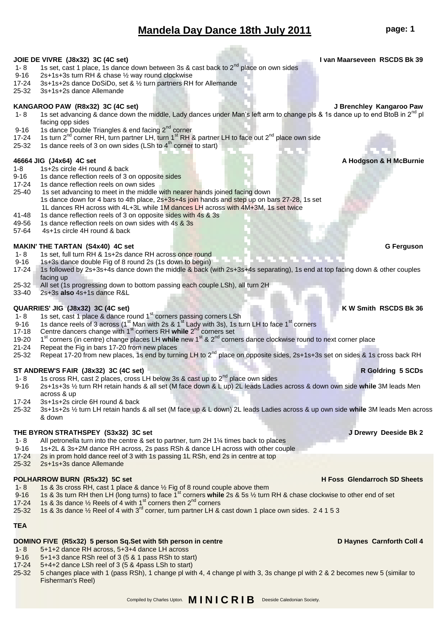# **Mandela Day Dance 18th July 2011 page: 1**

### **JOIE DE VIVRE (J8x32) 3C (4C set) I van Maarseveen RSCDS Bk 39**

- 1- 8 1s set, cast 1 place, 1s dance down between 3s & cast back to  $2^{nd}$  place on own sides 9-16 2s+1s+3s turn RH & chase 1/<sub>2</sub> way round clockwise
- 9-16 2s+1s+3s turn RH & chase ½ way round clockwise<br>17-24 3s+1s+2s dance DoSiDo, set & ½ turn partners RH
- 17-24 3s+1s+2s dance DoSiDo, set & ½ turn partners RH for Allemande<br>25-32 3s+1s+2s dance Allemande
- 25-32 3s+1s+2s dance Allemande

### **KANGAROO PAW (R8x32) 3C (4C set) J Brenchley Kangaroo Paw**

- 1- 8 1s set advancing & dance down the middle, Lady dances under Man's left arm to change pls & 1s dance up to end BtoB in  $2^{nd}$  pl facing opp sides
- 9-16 1s dance Double Triangles & end facing  $2^{nd}$  corner<br>17-24 1s turn  $2^{nd}$  corner RH, turn partner I H, turn 1<sup>st</sup> RH &
- 17-24 1s turn 2<sup>nd</sup> corner RH, turn partner LH, turn 1<sup>st</sup> RH & partner LH to face out 2<sup>nd</sup> place own side<br>25-32 1s dance reels of 3 on own sides (LSh to 4<sup>th</sup> corner to start)
- 1s dance reels of 3 on own sides (LSh to  $4<sup>th</sup>$  corner to start)

- **46664 JIG (J4x64) 4C set A Hodgson & H McBurnie**<br>1-8 1s+2s circle 4H round & back **A Hodgson & H McBurnie**
- 1-8 1s+2s circle 4H round & back<br>9-16 1s dance reflection reels of 3 9-16 1s dance reflection reels of 3 on opposite sides<br>17-24 1s dance reflection reels on own sides
- 1s dance reflection reels on own sides
- 25-40 1s set advancing to meet in the middle with nearer hands joined facing down 1s dance down for 4 bars to 4th place, 2s+3s+4s join hands and step up on bars 27-28, 1s set 1L dances RH across with 4L+3L while 1M dances LH across with 4M+3M, 1s set twice<br>41-48 1s dance reflection reels of 3 on opposite sides with 4s & 3s
- 1s dance reflection reels of 3 on opposite sides with 4s & 3s
- 49-56 1s dance reflection reels on own sides with 4s & 3s
- 57-64 4s+1s circle 4H round & back

### **MAKIN' THE TARTAN (S4x40) 4C set G Ferguson**

- 1- 8 1s set, full turn RH & 1s+2s dance RH across once round<br>9-16 1s+3s dance double Fig of 8 round 2s (1s down to begin)
- 1s+3s dance double Fig of 8 round 2s (1s down to begin)
- 17-24 1s followed by 2s+3s+4s dance down the middle & back (with 2s+3s+4s separating), 1s end at top facing down & other couples facing up
- 25-32 All set (1s progressing down to bottom passing each couple LSh), all turn 2H<br>33-40 2s+3s also 4s+1s dance R&L
- 33-40 2s+3s **also** 4s+1s dance R&L

### **QUARRIES' JIG (J8x32) 3C (4C set) K W Smith RSCDS Bk 36**

- 1- 8 1s set, cast 1 place & dance round 1<sup>st</sup> corners passing corners LSh
- 9-16 1s dance reels of 3 across (1<sup>st</sup> Man with 2s & 1<sup>st</sup> Lady with 3s), 1s turn LH to face 1<sup>st</sup> corners
- 17-18 Centre dancers change with 1<sup>st</sup> corners RH while 2<sup>nd</sup> corners set
- 19-20 1<sup>st</sup> corners (in centre) change places LH while new 1<sup>st</sup> & 2<sup>nd</sup> corners dance clockwise round to next corner place
- 21-24 Repeat the Fig in bars 17-20 from new places
- 25-32 Repeat 17-20 from new places, 1s end by turning LH to 2<sup>nd</sup> place on opposite sides, 2s+1s+3s set on sides & 1s cross back RH

### **ST ANDREW'S FAIR (J8x32) 3C (4C set) R Goldring 5 SCDs**

- 1- 8 1s cross RH, cast 2 places, cross LH below 3s & cast up to  $2^{nd}$  place own sides<br>9-16 2s+1s+3s ½ turn RH retain hands & all set (M face down & L up) 2L leads Ladie
- 9-16 2s+1s+3s ½ turn RH retain hands & all set (M face down & L up) 2L leads Ladies across & down own side **while** 3M leads Men across & up
- 
- 17-24 3s+1s+2s circle 6H round & back<br>25-32 3s+1s+2s ½ turn LH retain hands 25-32 3s+1s+2s ½ turn LH retain hands & all set (M face up & L down) 2L leads Ladies across & up own side **while** 3M leads Men across & down

### **THE BYRON STRATHSPEY (S3x32) 3C set J Drewry Deeside Bk 2**

- 1- 8 All petronella turn into the centre & set to partner, turn 2H 1¼ times back to places<br>9-16 1s+2L & 3s+2M dance RH across, 2s pass RSh & dance LH across with other coup
- 9-16 1s+2L & 3s+2M dance RH across, 2s pass RSh & dance LH across with other couple
- 17-24 2s in prom hold dance reel of 3 with 1s passing 1L RSh, end 2s in centre at top
- 25-32 2s+1s+3s dance Allemande

## **POLHARROW BURN (R5x32) 5C set <b>H** Foss Glendarroch SD Sheets

- 1- 8 1s & 3s cross RH, cast 1 place & dance  $\frac{1}{2}$  Fig of 8 round couple above them
- 9-16 1s & 3s turn RH then LH (long turns) to face 1<sup>st</sup> corners while 2s & 5s 1/<sub>2</sub> turn RH & chase clockwise to other end of set
- 17-24 1s & 3s dance  $\frac{1}{2}$  Reels of 4 with 1<sup>st</sup> corners then 2<sup>nd</sup> corners
- 25-32 1s & 3s dance  $\frac{1}{2}$  Reel of 4 with 3<sup>rd</sup> corner, turn partner LH & cast down 1 place own sides. 2 4 1 5 3

### **TEA**

### **DOMINO FIVE (R5x32) 5 person Sq.Set with 5th person in centre <b>DETE 1000 DETE 1000 PM** Haynes Carnforth Coll 4

- 1- 8 5+1+2 dance RH across, 5+3+4 dance LH across
- 9-16 5+1+3 dance RSh reel of 3 (5 & 1 pass RSh to start)
- 17-24 5+4+2 dance LSh reel of 3 (5 & 4pass LSh to start)
- 25-32 5 changes place with 1 (pass RSh), 1 change pl with 4, 4 change pl with 3, 3s change pl with 2 & 2 becomes new 5 (similar to Fisherman's Reel)